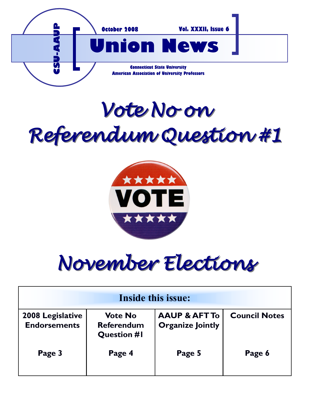

# *Vote No on Referendum Question #1*



# *November Elections*

| <b>Inside this issue:</b>               |                                                           |                                                     |                      |
|-----------------------------------------|-----------------------------------------------------------|-----------------------------------------------------|----------------------|
| 2008 Legislative<br><b>Endorsements</b> | <b>Vote No</b><br><b>Referendum</b><br><b>Question #I</b> | <b>AAUP &amp; AFT To</b><br><b>Organize Jointly</b> | <b>Council Notes</b> |
| Page 3                                  | Page 4                                                    | Page 5                                              | Page 6               |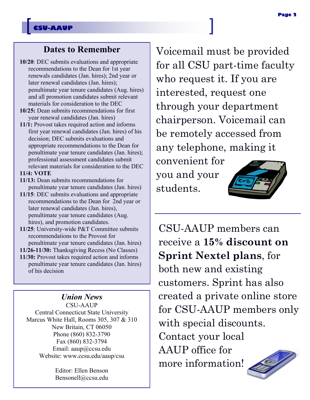#### **CSU-AAUP**

#### **Dates to Remember**

- **10/20**: DEC submits evaluations and appropriate recommendations to the Dean for 1st year renewals candidates (Jan. hires); 2nd year or later renewal candidates (Jan. hires); penultimate year tenure candidates (Aug. hires) and all promotion candidates submit relevant materials for consideration to the DEC
- **10/25:** Dean submits recommendations for first year renewal candidates (Jan. hires)
- **11/1:** Provost takes required action and informs first year renewal candidates (Jan. hires) of his decision; DEC submits evaluations and appropriate recommendations to the Dean for penultimate year tenure candidates (Jan. hires); professional assessment candidates submit relevant materials for consideration to the DEC

#### **11/4: VOTE**

- **11/13:** Dean submits recommendations for penultimate year tenure candidates (Jan. hires)
- **11/15**: DEC submits evaluations and appropriate recommendations to the Dean for 2nd year or later renewal candidates (Jan. hires), penultimate year tenure candidates (Aug. hires), and promotion candidates.
- **11/25**: University-wide P&T Committee submits recommendations to the Provost for penultimate year tenure candidates (Jan. hires)

**11/26-11/30:** Thanksgiving Recess (No Classes)

**11/30:** Provost takes required action and informs penultimate year tenure candidates (Jan. hires) of his decision

*Union News* CSU-AAUP Central Connecticut State University Marcus White Hall, Rooms 305, 307 & 310 New Britain, CT 06050 Phone (860) 832-3790 Fax (860) 832-3794 Email: aaup@ccsu.edu Website: www.ccsu.edu/aaup/csu

> Editor: Ellen Benson Bensonell@ccsu.edu

Voicemail must be provided for all CSU part-time faculty who request it. If you are interested, request one through your department chairperson. Voicemail can be remotely accessed from any telephone, making it

convenient for you and your students.



CSU-AAUP members can receive a **15% discount on Sprint Nextel plans**, for both new and existing customers. Sprint has also created a private online store for CSU-AAUP members only with special discounts. Contact your local AAUP office for more information!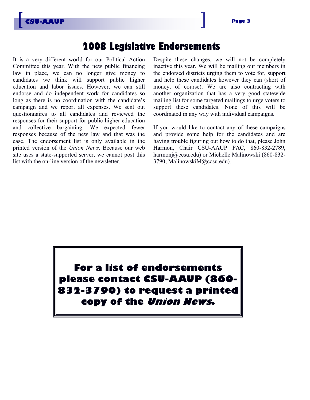

## **CSU-AAUP Page 3**

### **2008 Legislative Endorsements**

It is a very different world for our Political Action Committee this year. With the new public financing law in place, we can no longer give money to candidates we think will support public higher education and labor issues. However, we can still endorse and do independent work for candidates so long as there is no coordination with the candidate's campaign and we report all expenses. We sent out questionnaires to all candidates and reviewed the responses for their support for public higher education and collective bargaining. We expected fewer responses because of the new law and that was the case. The endorsement list is only available in the printed version of the *Union News*. Because our web site uses a state-supported server, we cannot post this list with the on-line version of the newsletter.

Despite these changes, we will not be completely inactive this year. We will be mailing our members in the endorsed districts urging them to vote for, support and help these candidates however they can (short of money, of course). We are also contracting with another organization that has a very good statewide mailing list for some targeted mailings to urge voters to support these candidates. None of this will be coordinated in any way with individual campaigns.

If you would like to contact any of these campaigns and provide some help for the candidates and are having trouble figuring out how to do that, please John Harmon, Chair CSU-AAUP PAC, 860-832-2789, harmonj@ccsu.edu) or Michelle Malinowski (860-832- 3790, MalinowskiM@ccsu.edu).

**For a list of endorsements please contact CSU-AAUP (860- 832-3790) to request a printed copy of the Union News.**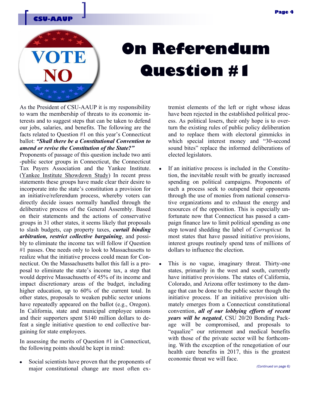

**CSU-AAUP**

# **On Referendum Question #1**

As the President of CSU-AAUP it is my responsibility to warn the membership of threats to its economic interests and to suggest steps that can be taken to defend our jobs, salaries, and benefits. The following are the facts related to Question #1 on this year's Connecticut ballot: *"Shall there be a Constitutional Convention to amend or revise the Constitution of the State?"*

Proponents of passage of this question include two anti -public sector groups in Connecticut, the Connecticut Tax Payers Association and the Yankee Institute. ([Yankee Institute Showdown Study\)](http://www.yankeeinstitute.org/files/pdf/83812_Yankee_Institute_Showdown_Study_PROOF.pdf) In recent press statements these groups have made clear their desire to incorporate into the state's constitution a provision for an initiative/referendum process, whereby voters can directly decide issues normally handled through the deliberative process of the General Assembly. Based on their statements and the actions of conservative groups in 31 other states, it seems likely that proposals to slash budgets, cap property taxes, *curtail binding arbitration, restrict collective bargaining*, and possibly to eliminate the income tax will follow if Question #1 passes. One needs only to look to Massachusetts to realize what the initiative process could mean for Connecticut. On the Massachusetts ballot this fall is a proposal to eliminate the state's income tax, a step that would deprive Massachusetts of 45% of its income and impact discretionary areas of the budget, including higher education, up to 60% of the current total. In other states, proposals to weaken public sector unions have repeatedly appeared on the ballot (e.g., Oregon). In California, state and municipal employee unions and their supporters spent \$140 million dollars to defeat a single initiative question to end collective bargaining for state employees.

In assessing the merits of Question #1 in Connecticut, the following points should be kept in mind:

Social scientists have proven that the proponents of major constitutional change are most often extremist elements of the left or right whose ideas have been rejected in the established political process. As political losers, their only hope is to overturn the existing rules of public policy deliberation and to replace them with electoral gimmicks in which special interest money and "30-second sound bites" replace the informed deliberations of elected legislators.

- If an initiative process is included in the Constitu- $\bullet$ tion, the inevitable result with be greatly increased spending on political campaigns. Proponents of such a process seek to outspend their opponents through the use of monies from national conservative organizations and to exhaust the energy and resources of the opposition. This is especially unfortunate now that Connecticut has passed a campaign finance law to limit political spending as one step toward shedding the label of *Corrupticut.* In most states that have passed initiative provisions, interest groups routinely spend tens of millions of dollars to influence the election.
- This is no vague, imaginary threat. Thirty-one states, primarily in the west and south, currently have initiative provisions. The states of California, Colorado, and Arizona offer testimony to the damage that can be done to the public sector though the initiative process. If an initiative provision ultimately emerges from a Connecticut constitutional convention, *all of our lobbying efforts of recent years will be negated*, CSU 20/20 Bonding Package will be compromised, and proposals to "equalize" our retirement and medical benefits with those of the private sector will be forthcoming. With the exception of the renegotiation of our health care benefits in 2017, this is the greatest economic threat we will face.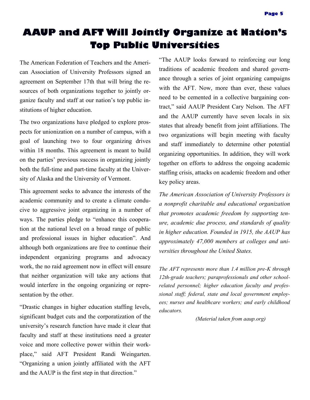### **AAUP and AFT Will Jointly Organize at Nation's Top Public Universities**

The American Federation of Teachers and the American Association of University Professors signed an agreement on September 17th that will bring the resources of both organizations together to jointly organize faculty and staff at our nation's top public institutions of higher education.

The two organizations have pledged to explore prospects for unionization on a number of campus, with a goal of launching two to four organizing drives within 18 months. This agreement is meant to build on the parties' previous success in organizing jointly both the full-time and part-time faculty at the University of Alaska and the University of Vermont.

This agreement seeks to advance the interests of the academic community and to create a climate conducive to aggressive joint organizing in a number of ways. The parties pledge to "enhance this cooperation at the national level on a broad range of public and professional issues in higher education". And although both organizations are free to continue their independent organizing programs and advocacy work, the no raid agreement now in effect will ensure that neither organization will take any actions that would interfere in the ongoing organizing or representation by the other.

"Drastic changes in higher education staffing levels, significant budget cuts and the corporatization of the university's research function have made it clear that faculty and staff at these institutions need a greater voice and more collective power within their workplace," said AFT President Randi Weingarten. "Organizing a union jointly affiliated with the AFT and the AAUP is the first step in that direction."

"The AAUP looks forward to reinforcing our long traditions of academic freedom and shared governance through a series of joint organizing campaigns with the AFT. Now, more than ever, these values need to be cemented in a collective bargaining contract," said AAUP President Cary Nelson. The AFT and the AAUP currently have seven locals in six states that already benefit from joint affiliations. The two organizations will begin meeting with faculty and staff immediately to determine other potential organizing opportunities. In addition, they will work together on efforts to address the ongoing academic staffing crisis, attacks on academic freedom and other key policy areas.

*The American Association of University Professors is a nonprofit charitable and educational organization that promotes academic freedom by supporting tenure, academic due process, and standards of quality in higher education. Founded in 1915, the AAUP has approximately 47,000 members at colleges and universities throughout the United States.*

*The AFT represents more than 1.4 million pre-K through 12th-grade teachers; paraprofessionals and other schoolrelated personnel; higher education faculty and professional staff; federal, state and local government employees; nurses and healthcare workers; and early childhood educators.*

*(Material taken from aaup.org)*